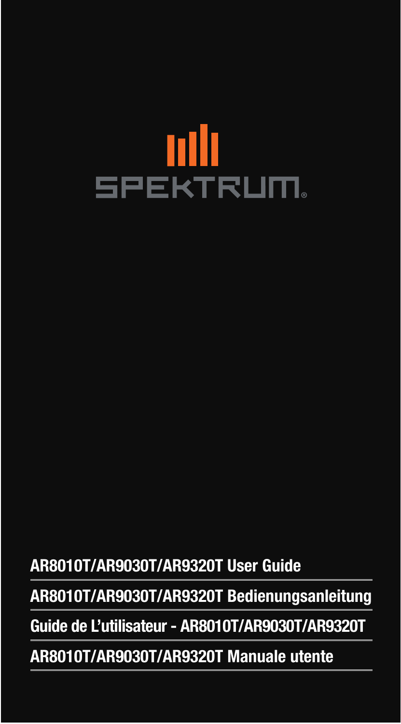# **ANI**<br>SPEKTRUM.

AR8010T/AR9030T/AR9320T User Guide

AR8010T/AR9030T/AR9320T Bedienungsanleitung

Guide de L'utilisateur - AR8010T/AR9030T/AR9320T

AR8010T/AR9030T/AR9320T Manuale utente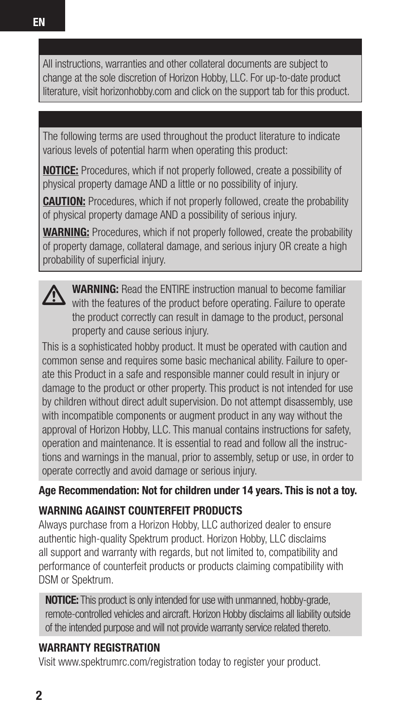All instructions, warranties and other collateral documents are subject to change at the sole discretion of Horizon Hobby, LLC. For up-to-date product literature, visit horizonhobby.com and click on the support tab for this product.

The following terms are used throughout the product literature to indicate various levels of potential harm when operating this product:

NOTICE: Procedures, which if not properly followed, create a possibility of physical property damage AND a little or no possibility of injury.

**CAUTION:** Procedures, which if not properly followed, create the probability of physical property damage AND a possibility of serious injury.

WARNING: Procedures, which if not properly followed, create the probability of property damage, collateral damage, and serious injury OR create a high probability of superficial injury.

WARNING: Read the ENTIRE instruction manual to become familiar with the features of the product before operating. Failure to operate the product correctly can result in damage to the product, personal property and cause serious injury.

This is a sophisticated hobby product. It must be operated with caution and common sense and requires some basic mechanical ability. Failure to operate this Product in a safe and responsible manner could result in injury or damage to the product or other property. This product is not intended for use by children without direct adult supervision. Do not attempt disassembly, use with incompatible components or augment product in any way without the approval of Horizon Hobby, LLC. This manual contains instructions for safety, operation and maintenance. It is essential to read and follow all the instructions and warnings in the manual, prior to assembly, setup or use, in order to operate correctly and avoid damage or serious injury.

Age Recommendation: Not for children under 14 years. This is not a toy.

### WARNING AGAINST COUNTERFEIT PRODUCTS

Always purchase from a Horizon Hobby, LLC authorized dealer to ensure authentic high-quality Spektrum product. Horizon Hobby, LLC disclaims all support and warranty with regards, but not limited to, compatibility and performance of counterfeit products or products claiming compatibility with DSM or Spektrum.

**NOTICE:** This product is only intended for use with unmanned, hobby-grade, remote-controlled vehicles and aircraft. Horizon Hobby disclaims all liability outside of the intended purpose and will not provide warranty service related thereto.

### WARRANTY REGISTRATION

Visit www.spektrumrc.com/registration today to register your product.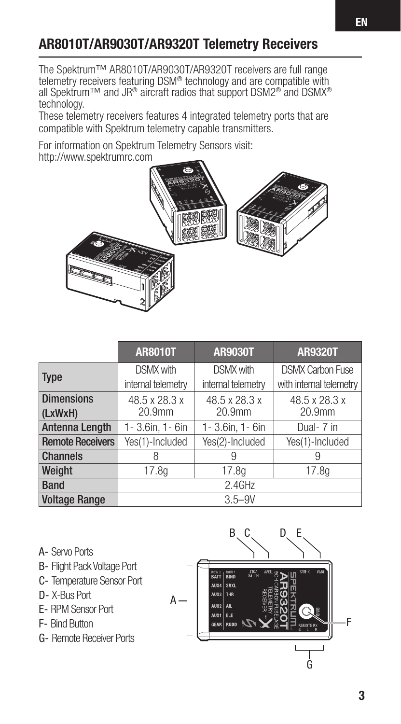# AR8010T/AR9030T/AR9320T Telemetry Receivers

The Spektrum™ AR8010T/AR9030T/AR9320T receivers are full range telemetry receivers featuring DSM® technology and are compatible with all Spektrum™ and JR® aircraft radios that support DSM2® and DSMX® technology.

These telemetry receivers features 4 integrated telemetry ports that are compatible with Spektrum telemetry capable transmitters.

For information on Spektrum Telemetry Sensors visit: http://www.spektrumrc.com





- A- Servo Ports
- B- Flight Pack Voltage Port
- C- Temperature Sensor Port
- D- X-Bus Port
- E- RPM Sensor Port
- F- Bind Button
- G- Remote Receiver Ports

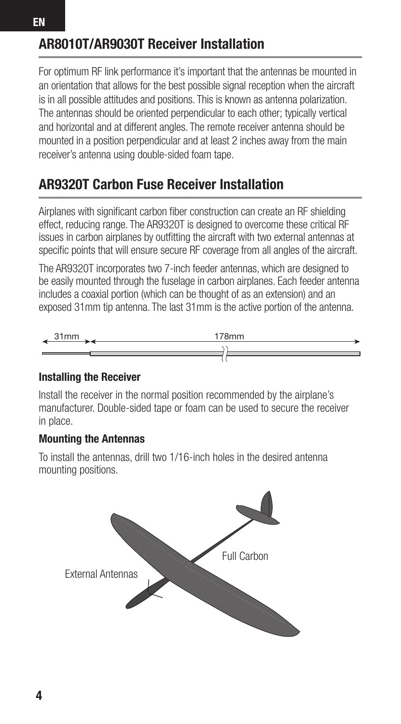## AR8010T/AR9030T Receiver Installation

For optimum RF link performance it's important that the antennas be mounted in an orientation that allows for the best possible signal reception when the aircraft is in all possible attitudes and positions. This is known as antenna polarization. The antennas should be oriented perpendicular to each other; typically vertical and horizontal and at different angles. The remote receiver antenna should be mounted in a position perpendicular and at least 2 inches away from the main receiver's antenna using double-sided foam tape.

## AR9320T Carbon Fuse Receiver Installation

Airplanes with significant carbon fiber construction can create an RF shielding effect, reducing range. The AR9320T is designed to overcome these critical RF issues in carbon airplanes by outfitting the aircraft with two external antennas at specific points that will ensure secure RF coverage from all angles of the aircraft.

The AR9320T incorporates two 7-inch feeder antennas, which are designed to be easily mounted through the fuselage in carbon airplanes. Each feeder antenna includes a coaxial portion (which can be thought of as an extension) and an exposed 31mm tip antenna. The last 31mm is the active portion of the antenna.



#### Installing the Receiver

Install the receiver in the normal position recommended by the airplane's manufacturer. Double-sided tape or foam can be used to secure the receiver in place.

#### Mounting the Antennas

To install the antennas, drill two 1/16-inch holes in the desired antenna mounting positions.

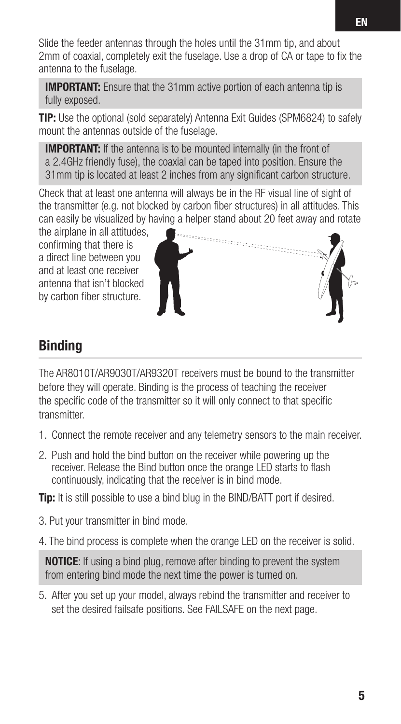Slide the feeder antennas through the holes until the 31mm tip, and about 2mm of coaxial, completely exit the fuselage. Use a drop of CA or tape to fix the antenna to the fuselage.

**IMPORTANT:** Ensure that the 31mm active portion of each antenna tip is fully exposed.

TIP: Use the optional (sold separately) Antenna Exit Guides (SPM6824) to safely mount the antennas outside of the fuselage.

**IMPORTANT:** If the antenna is to be mounted internally (in the front of a 2.4GHz friendly fuse), the coaxial can be taped into position. Ensure the 31mm tip is located at least 2 inches from any significant carbon structure.

Check that at least one antenna will always be in the RF visual line of sight of the transmitter (e.g. not blocked by carbon fiber structures) in all attitudes. This can easily be visualized by having a helper stand about 20 feet away and rotate

the airplane in all attitudes, confirming that there is a direct line between you and at least one receiver antenna that isn't blocked by carbon fiber structure.



# **Binding**

The AR8010T/AR9030T/AR9320T receivers must be bound to the transmitter before they will operate. Binding is the process of teaching the receiver the specific code of the transmitter so it will only connect to that specific transmitter.

- 1. Connect the remote receiver and any telemetry sensors to the main receiver.
- 2. Push and hold the bind button on the receiver while powering up the receiver. Release the Bind button once the orange LED starts to flash continuously, indicating that the receiver is in bind mode.

**Tip:** It is still possible to use a bind blug in the BIND/BATT port if desired.

3. Put your transmitter in bind mode.

4. The bind process is complete when the orange LED on the receiver is solid.

NOTICE: If using a bind plug, remove after binding to prevent the system from entering bind mode the next time the power is turned on.

5. After you set up your model, always rebind the transmitter and receiver to set the desired failsafe positions. See FAILSAFE on the next page.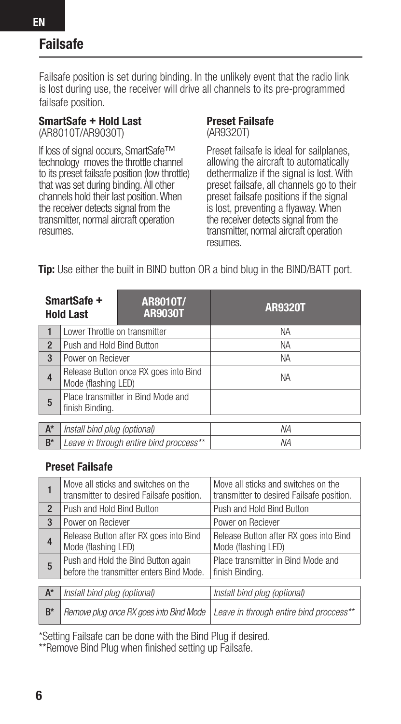# Failsafe

Failsafe position is set during binding. In the unlikely event that the radio link is lost during use, the receiver will drive all channels to its pre-programmed failsafe position.

#### SmartSafe + Hold Last

(AR8010T/AR9030T)

If loss of signal occurs, SmartSafe™ technology moves the throttle channel to its preset failsafe position (low throttle) that was set during binding. All other channels hold their last position. When the receiver detects signal from the transmitter, normal aircraft operation resumes.

#### Preset Failsafe (AR9320T)

Preset failsafe is ideal for sailplanes, allowing the aircraft to automatically dethermalize if the signal is lost. With preset failsafe, all channels go to their preset failsafe positions if the signal is lost, preventing a flyaway. When the receiver detects signal from the transmitter, normal aircraft operation resumes.

**Tip:** Use either the built in BIND button OR a bind blug in the BIND/BATT port.

| SmartSafe +<br><b>Hold Last</b>             |                                | AR8010T/<br><b>AR9030T</b>              | <b>AR9320T</b> |  |  |
|---------------------------------------------|--------------------------------|-----------------------------------------|----------------|--|--|
| -1                                          | I ower Throttle on transmitter |                                         | <b>NA</b>      |  |  |
| $\overline{2}$                              | Push and Hold Bind Button      |                                         | <b>NA</b>      |  |  |
| 3                                           | Power on Reciever              |                                         | <b>NA</b>      |  |  |
| 4                                           | Mode (flashing LED)            | Release Button once RX goes into Bind   | <b>NA</b>      |  |  |
| 5                                           | finish Binding.                | Place transmitter in Bind Mode and      |                |  |  |
| $A^*$<br>Install bind plug (optional)<br>ΝA |                                |                                         |                |  |  |
|                                             |                                |                                         |                |  |  |
| $B^*$                                       |                                | Leave in through entire bind proccess** | NΑ             |  |  |

#### Preset Failsafe

| 1              | Move all sticks and switches on the<br>transmitter to desired Failsafe position. | Move all sticks and switches on the<br>transmitter to desired Failsafe position. |  |
|----------------|----------------------------------------------------------------------------------|----------------------------------------------------------------------------------|--|
| $\overline{2}$ | Push and Hold Bind Button                                                        | Push and Hold Bind Button                                                        |  |
| 3              | Power on Reciever                                                                | Power on Reciever                                                                |  |
| 4              | Release Button after RX goes into Bind<br>Mode (flashing LED)                    | Release Button after RX goes into Bind<br>Mode (flashing LED)                    |  |
| 5              | Push and Hold the Bind Button again<br>before the transmitter enters Bind Mode.  | Place transmitter in Bind Mode and<br>finish Binding.                            |  |
|                |                                                                                  |                                                                                  |  |
| $A^*$          | Install bind plug (optional)                                                     | Install bind plug (optional)                                                     |  |
| $B^*$          | Remove plug once RX goes into Bind Mode                                          | Leave in through entire bind proccess**                                          |  |

\*Setting Failsafe can be done with the Bind Plug if desired.

\*\*Remove Bind Plug when finished setting up Failsafe.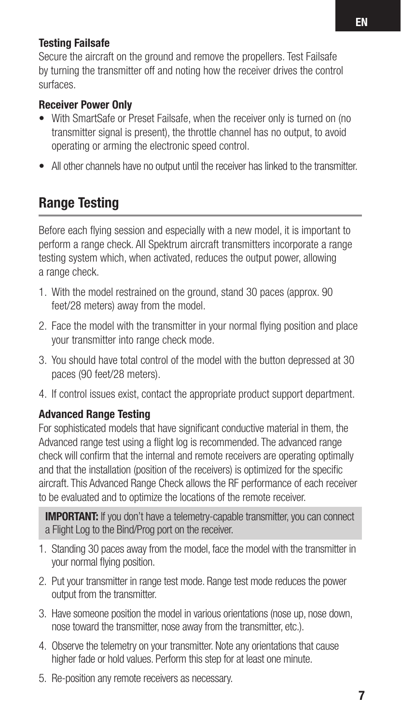#### Testing Failsafe

Secure the aircraft on the ground and remove the propellers. Test Failsafe by turning the transmitter off and noting how the receiver drives the control surfaces.

#### Receiver Power Only

- With SmartSafe or Preset Failsafe, when the receiver only is turned on (no transmitter signal is present), the throttle channel has no output, to avoid operating or arming the electronic speed control.
- All other channels have no output until the receiver has linked to the transmitter.

## Range Testing

Before each flying session and especially with a new model, it is important to perform a range check. All Spektrum aircraft transmitters incorporate a range testing system which, when activated, reduces the output power, allowing a range check.

- 1. With the model restrained on the ground, stand 30 paces (approx. 90 feet/28 meters) away from the model.
- 2. Face the model with the transmitter in your normal flying position and place your transmitter into range check mode.
- 3. You should have total control of the model with the button depressed at 30 paces (90 feet/28 meters).
- 4. If control issues exist, contact the appropriate product support department.

#### Advanced Range Testing

For sophisticated models that have significant conductive material in them, the Advanced range test using a flight log is recommended. The advanced range check will confirm that the internal and remote receivers are operating optimally and that the installation (position of the receivers) is optimized for the specific aircraft. This Advanced Range Check allows the RF performance of each receiver to be evaluated and to optimize the locations of the remote receiver.

**IMPORTANT:** If you don't have a telemetry-capable transmitter, you can connect a Flight Log to the Bind/Prog port on the receiver.

- 1. Standing 30 paces away from the model, face the model with the transmitter in your normal flying position.
- 2. Put your transmitter in range test mode. Range test mode reduces the power output from the transmitter.
- 3. Have someone position the model in various orientations (nose up, nose down, nose toward the transmitter, nose away from the transmitter, etc.).
- 4. Observe the telemetry on your transmitter. Note any orientations that cause higher fade or hold values. Perform this step for at least one minute.
- 5. Re-position any remote receivers as necessary.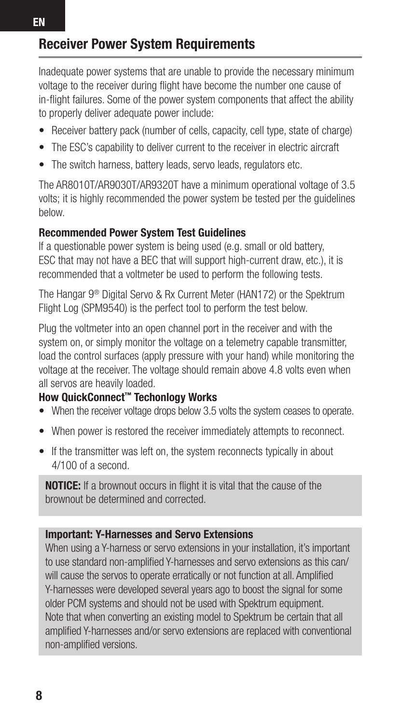# Receiver Power System Requirements

Inadequate power systems that are unable to provide the necessary minimum voltage to the receiver during flight have become the number one cause of in-flight failures. Some of the power system components that affect the ability to properly deliver adequate power include:

- Receiver battery pack (number of cells, capacity, cell type, state of charge)
- The ESC's capability to deliver current to the receiver in electric aircraft
- The switch harness, battery leads, servo leads, regulators etc.

The AR8010T/AR9030T/AR9320T have a minimum operational voltage of 3.5 volts; it is highly recommended the power system be tested per the guidelines below.

#### Recommended Power System Test Guidelines

If a questionable power system is being used (e.g. small or old battery, ESC that may not have a BEC that will support high-current draw, etc.), it is recommended that a voltmeter be used to perform the following tests.

The Hangar 9<sup>®</sup> Digital Servo & Rx Current Meter (HAN172) or the Spektrum Flight Log (SPM9540) is the perfect tool to perform the test below.

Plug the voltmeter into an open channel port in the receiver and with the system on, or simply monitor the voltage on a telemetry capable transmitter, load the control surfaces (apply pressure with your hand) while monitoring the voltage at the receiver. The voltage should remain above 4.8 volts even when all servos are heavily loaded.

#### How QuickConnect™ Techonlogy Works

- When the receiver voltage drops below 3.5 volts the system ceases to operate.
- When power is restored the receiver immediately attempts to reconnect.
- If the transmitter was left on, the system reconnects typically in about 4/100 of a second.

NOTICE: If a brownout occurs in flight it is vital that the cause of the brownout be determined and corrected.

#### Important: Y-Harnesses and Servo Extensions

When using a Y-harness or servo extensions in your installation, it's important to use standard non-amplified Y-harnesses and servo extensions as this can/ will cause the servos to operate erratically or not function at all. Amplified Y-harnesses were developed several years ago to boost the signal for some older PCM systems and should not be used with Spektrum equipment. Note that when converting an existing model to Spektrum be certain that all amplified Y-harnesses and/or servo extensions are replaced with conventional non-amplified versions.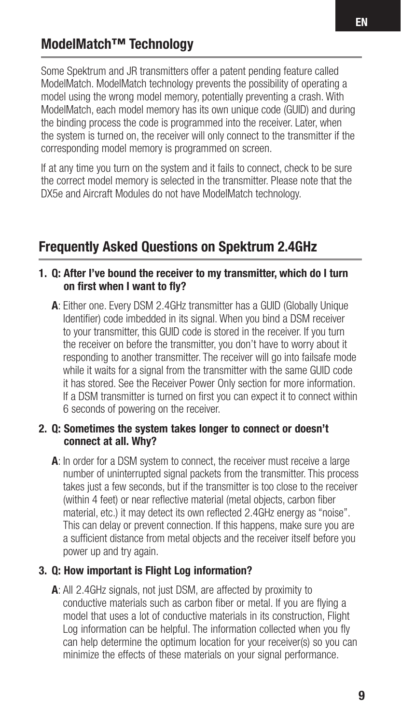## ModelMatch™ Technology

Some Spektrum and JR transmitters offer a patent pending feature called ModelMatch. ModelMatch technology prevents the possibility of operating a model using the wrong model memory, potentially preventing a crash. With ModelMatch, each model memory has its own unique code (GUID) and during the binding process the code is programmed into the receiver. Later, when the system is turned on, the receiver will only connect to the transmitter if the corresponding model memory is programmed on screen.

If at any time you turn on the system and it fails to connect, check to be sure the correct model memory is selected in the transmitter. Please note that the DX5e and Aircraft Modules do not have ModelMatch technology.

## Frequently Asked Questions on Spektrum 2.4GHz

#### 1. Q: After I've bound the receiver to my transmitter, which do I turn on first when I want to fly?

A: Either one. Every DSM 2.4GHz transmitter has a GUID (Globally Unique Identifier) code imbedded in its signal. When you bind a DSM receiver to your transmitter, this GUID code is stored in the receiver. If you turn the receiver on before the transmitter, you don't have to worry about it responding to another transmitter. The receiver will go into failsafe mode while it waits for a signal from the transmitter with the same GUID code it has stored. See the Receiver Power Only section for more information. If a DSM transmitter is turned on first you can expect it to connect within 6 seconds of powering on the receiver.

#### 2. Q: Sometimes the system takes longer to connect or doesn't connect at all. Why?

A: In order for a DSM system to connect, the receiver must receive a large number of uninterrupted signal packets from the transmitter. This process takes just a few seconds, but if the transmitter is too close to the receiver (within 4 feet) or near reflective material (metal objects, carbon fiber material, etc.) it may detect its own reflected 2.4GHz energy as "noise". This can delay or prevent connection. If this happens, make sure you are a sufficient distance from metal objects and the receiver itself before you power up and try again.

#### 3. Q: How important is Flight Log information?

A: All 2.4GHz signals, not just DSM, are affected by proximity to conductive materials such as carbon fiber or metal. If you are flying a model that uses a lot of conductive materials in its construction, Flight Log information can be helpful. The information collected when you fly can help determine the optimum location for your receiver(s) so you can minimize the effects of these materials on your signal performance.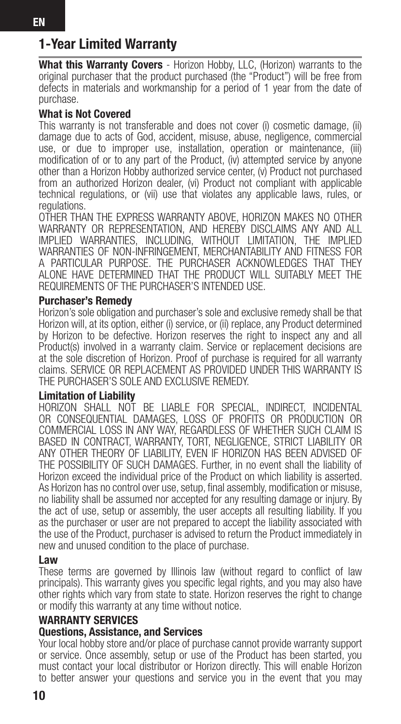# 1-Year Limited Warranty

What this Warranty Covers - Horizon Hobby, LLC, (Horizon) warrants to the original purchaser that the product purchased (the "Product") will be free from defects in materials and workmanship for a period of 1 year from the date of purchase.

#### What is Not Covered

This warranty is not transferable and does not cover (i) cosmetic damage, (ii) damage due to acts of God, accident, misuse, abuse, negligence, commercial use, or due to improper use, installation, operation or maintenance, (iii) modification of or to any part of the Product, (iv) attempted service by anyone other than a Horizon Hobby authorized service center, (v) Product not purchased from an authorized Horizon dealer, (vi) Product not compliant with applicable technical regulations, or (vii) use that violates any applicable laws, rules, or regulations.

OTHER THAN THE EXPRESS WARRANTY ABOVE, HORIZON MAKES NO OTHER WARRANTY OR REPRESENTATION, AND HEREBY DISCLAIMS ANY AND ALL IMPLIED WARRANTIES, INCLUDING, WITHOUT LIMITATION, THE IMPLIED WARRANTIES OF NON-INFRINGEMENT, MERCHANTABILITY AND FITNESS FOR A PARTICULAR PURPOSE. THE PURCHASER ACKNOWLEDGES THAT THEY ALONE HAVE DETERMINED THAT THE PRODUCT WILL SUITABLY MEET THE REQUIREMENTS OF THE PURCHASER'S INTENDED USE.

#### Purchaser's Remedy

Horizon's sole obligation and purchaser's sole and exclusive remedy shall be that Horizon will, at its option, either (i) service, or (ii) replace, any Product determined by Horizon to be defective. Horizon reserves the right to inspect any and all Product(s) involved in a warranty claim. Service or replacement decisions are at the sole discretion of Horizon. Proof of purchase is required for all warranty claims. SERVICE OR REPLACEMENT AS PROVIDED UNDER THIS WARRANTY IS THE PURCHASER'S SOLE AND EXCLUSIVE REMEDY.

#### Limitation of Liability

HORIZON SHALL NOT BE LIABLE FOR SPECIAL, INDIRECT, INCIDENTAL OR CONSEQUENTIAL DAMAGES, LOSS OF PROFITS OR PRODUCTION OR COMMERCIAL LOSS IN ANY WAY, REGARDLESS OF WHETHER SUCH CLAIM IS BASED IN CONTRACT, WARRANTY, TORT, NEGLIGENCE, STRICT LIABILITY OR ANY OTHER THEORY OF LIABILITY, EVEN IF HORIZON HAS BEEN ADVISED OF THE POSSIBILITY OF SUCH DAMAGES. Further, in no event shall the liability of Horizon exceed the individual price of the Product on which liability is asserted. As Horizon has no control over use, setup, final assembly, modification or misuse, no liability shall be assumed nor accepted for any resulting damage or injury. By the act of use, setup or assembly, the user accepts all resulting liability. If you as the purchaser or user are not prepared to accept the liability associated with the use of the Product, purchaser is advised to return the Product immediately in new and unused condition to the place of purchase.

#### Law

These terms are governed by Illinois law (without regard to conflict of law principals). This warranty gives you specific legal rights, and you may also have other rights which vary from state to state. Horizon reserves the right to change or modify this warranty at any time without notice.

#### WARRANTY SERVICES

#### Questions, Assistance, and Services

Your local hobby store and/or place of purchase cannot provide warranty support or service. Once assembly, setup or use of the Product has been started, you must contact your local distributor or Horizon directly. This will enable Horizon to better answer your questions and service you in the event that you may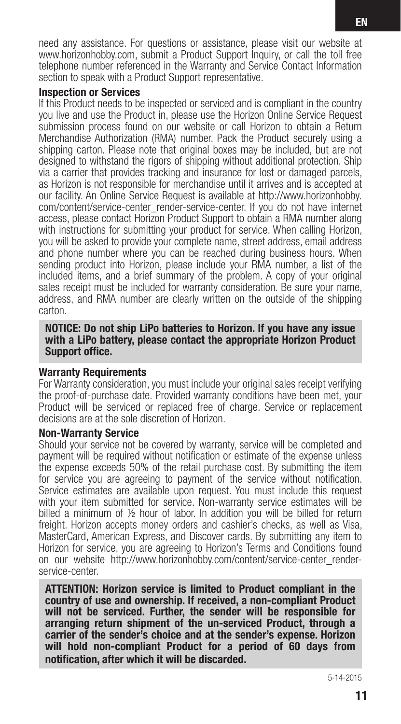need any assistance. For questions or assistance, please visit our website at www.horizonhobby.com, submit a Product Support Inquiry, or call the toll free telephone number referenced in the Warranty and Service Contact Information section to speak with a Product Support representative.

#### Inspection or Services

If this Product needs to be inspected or serviced and is compliant in the country you live and use the Product in, please use the Horizon Online Service Request submission process found on our website or call Horizon to obtain a Return Merchandise Authorization (RMA) number. Pack the Product securely using a shipping carton. Please note that original boxes may be included, but are not designed to withstand the rigors of shipping without additional protection. Ship via a carrier that provides tracking and insurance for lost or damaged parcels, as Horizon is not responsible for merchandise until it arrives and is accepted at our facility. An Online Service Request is available at http://www.horizonhobby. com/content/service-center\_render-service-center. If you do not have internet access, please contact Horizon Product Support to obtain a RMA number along with instructions for submitting your product for service. When calling Horizon, you will be asked to provide your complete name, street address, email address and phone number where you can be reached during business hours. When sending product into Horizon, please include your RMA number, a list of the included items, and a brief summary of the problem. A copy of your original sales receipt must be included for warranty consideration. Be sure your name, address, and RMA number are clearly written on the outside of the shipping carton.

#### NOTICE: Do not ship LiPo batteries to Horizon. If you have any issue with a LiPo battery, please contact the appropriate Horizon Product Support office.

#### Warranty Requirements

For Warranty consideration, you must include your original sales receipt verifying the proof-of-purchase date. Provided warranty conditions have been met, your Product will be serviced or replaced free of charge. Service or replacement decisions are at the sole discretion of Horizon.

#### Non-Warranty Service

Should your service not be covered by warranty, service will be completed and payment will be required without notification or estimate of the expense unless the expense exceeds 50% of the retail purchase cost. By submitting the item for service you are agreeing to payment of the service without notification. Service estimates are available upon request. You must include this request with your item submitted for service. Non-warranty service estimates will be billed a minimum of 1/2 hour of labor. In addition you will be billed for return freight. Horizon accepts money orders and cashier's checks, as well as Visa, MasterCard, American Express, and Discover cards. By submitting any item to Horizon for service, you are agreeing to Horizon's Terms and Conditions found on our website http://www.horizonhobby.com/content/service-center\_renderservice-center.

ATTENTION: Horizon service is limited to Product compliant in the country of use and ownership. If received, a non-compliant Product will not be serviced. Further, the sender will be responsible for arranging return shipment of the un-serviced Product, through a carrier of the sender's choice and at the sender's expense. Horizon will hold non-compliant Product for a period of 60 days from notification, after which it will be discarded.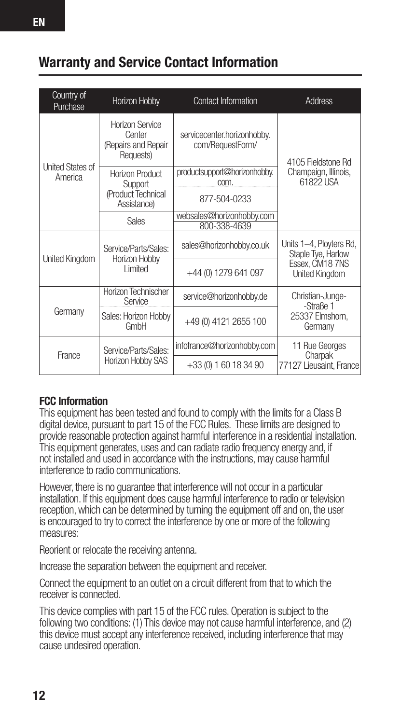## Warranty and Service Contact Information

| Country of<br>Purchase | Horizon Hobby                                                 | Contact Information                             | Address                                                                            |  |
|------------------------|---------------------------------------------------------------|-------------------------------------------------|------------------------------------------------------------------------------------|--|
| United States of       | Horizon Service<br>Center<br>(Repairs and Repair<br>Requests) | servicecenter.horizonhobby.<br>com/RequestForm/ | 4105 Fieldstone Rd                                                                 |  |
| America                | Horizon Product<br>Support                                    | productsupport@horizonhobby.<br>com.            | Champaign, Illinois,<br>61822 USA                                                  |  |
|                        | (Product Technical<br>Assistance)                             | 877-504-0233                                    |                                                                                    |  |
|                        | Sales                                                         | websales@horizonhobby.com<br>800-338-4639       |                                                                                    |  |
| United Kingdom         | Service/Parts/Sales:<br>Horizon Hobby<br>I imited             | sales@horizonhobby.co.uk                        | Units 1-4, Ployters Rd,<br>Staple Tye, Harlow<br>Essex, CM18 7NS<br>United Kingdom |  |
|                        |                                                               | +44 (0) 1279 641 097                            |                                                                                    |  |
|                        | Horizon Technischer<br>Service                                | service@horizonhobby.de                         | Christian-Junge-<br>-Straße 1                                                      |  |
| Germany                | Sales: Horizon Hobby<br>GmbH                                  | +49 (0) 4121 2655 100                           | 25337 Elmshorn,<br>Germany                                                         |  |
| France                 | Service/Parts/Sales:<br>Horizon Hobby SAS                     | infofrance@horizonhobby.com                     | 11 Rue Georges<br>Charpak<br>77127 Lieusaint, France                               |  |
|                        |                                                               | $+33(0)$ 1 60 18 34 90                          |                                                                                    |  |

#### FCC Information

This equipment has been tested and found to comply with the limits for a Class B digital device, pursuant to part 15 of the FCC Rules. These limits are designed to provide reasonable protection against harmful interference in a residential installation. This equipment generates, uses and can radiate radio frequency energy and, if not installed and used in accordance with the instructions, may cause harmful interference to radio communications.

However, there is no guarantee that interference will not occur in a particular installation. If this equipment does cause harmful interference to radio or television reception, which can be determined by turning the equipment off and on, the user is encouraged to try to correct the interference by one or more of the following measures<sup>:</sup>

Reorient or relocate the receiving antenna.

Increase the separation between the equipment and receiver.

Connect the equipment to an outlet on a circuit different from that to which the receiver is connected.

This device complies with part 15 of the FCC rules. Operation is subject to the following two conditions: (1) This device may not cause harmful interference, and (2) this device must accept any interference received, including interference that may cause undesired operation.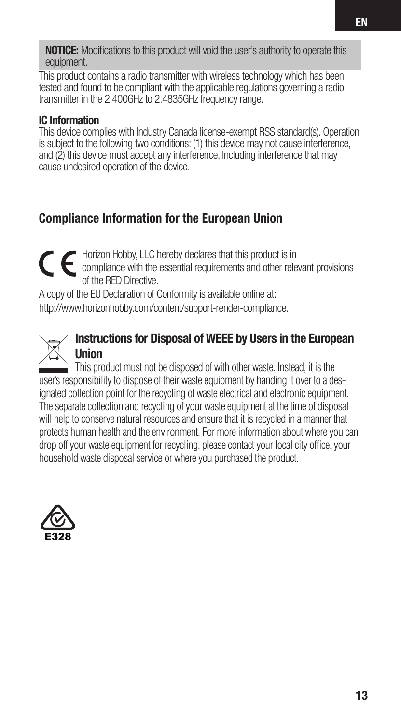**NOTICE:** Modifications to this product will void the user's authority to operate this equipment.

This product contains a radio transmitter with wireless technology which has been tested and found to be compliant with the applicable regulations governing a radio transmitter in the 2.400GHz to 2.4835GHz frequency range.

#### IC Information

This device complies with Industry Canada license-exempt RSS standard(s). Operation is subject to the following two conditions: (1) this device may not cause interference, and (2) this device must accept any interference, Including interference that may cause undesired operation of the device.

## Compliance Information for the European Union

Horizon Hobby, LLC hereby declares that this product is in compliance with the essential requirements and other relevant provisions of the RED Directive.

A copy of the EU Declaration of Conformity is available online at: http://www.horizonhobby.com/content/support-render-compliance.



#### Instructions for Disposal of WEEE by Users in the European Union

This product must not be disposed of with other waste. Instead, it is the user's responsibility to dispose of their waste equipment by handing it over to a designated collection point for the recycling of waste electrical and electronic equipment. The separate collection and recycling of your waste equipment at the time of disposal will help to conserve natural resources and ensure that it is recycled in a manner that protects human health and the environment. For more information about where you can drop off your waste equipment for recycling, please contact your local city office, your household waste disposal service or where you purchased the product.